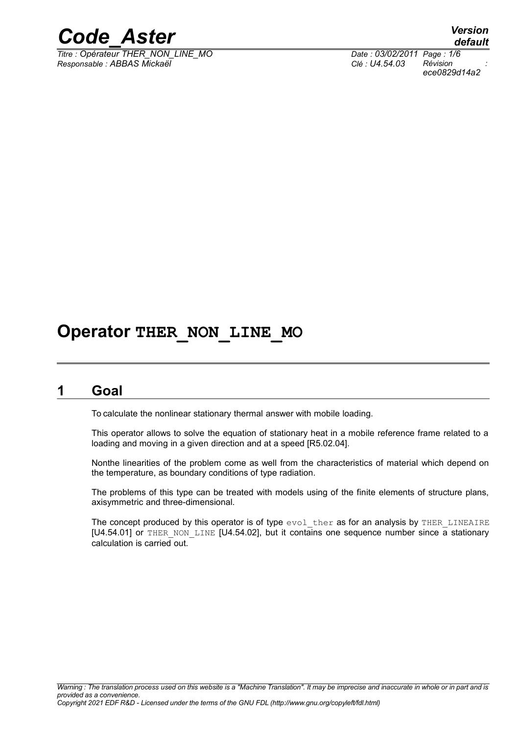

*Titre : Opérateur THER\_NON\_LINE\_MO Date : 03/02/2011 Page : 1/6 Responsable : ABBAS Mickaël Clé : U4.54.03 Révision :*

*default ece0829d14a2*

## **Operator THER\_NON\_LINE\_MO**

### **1 Goal**

To calculate the nonlinear stationary thermal answer with mobile loading.

This operator allows to solve the equation of stationary heat in a mobile reference frame related to a loading and moving in a given direction and at a speed [R5.02.04].

Nonthe linearities of the problem come as well from the characteristics of material which depend on the temperature, as boundary conditions of type radiation.

The problems of this type can be treated with models using of the finite elements of structure plans, axisymmetric and three-dimensional.

The concept produced by this operator is of type evol ther as for an analysis by THER LINEAIRE  $[U4.54.01]$  or THER\_NON\_LINE  $[U4.54.02]$ , but it contains one sequence number since a stationary calculation is carried out.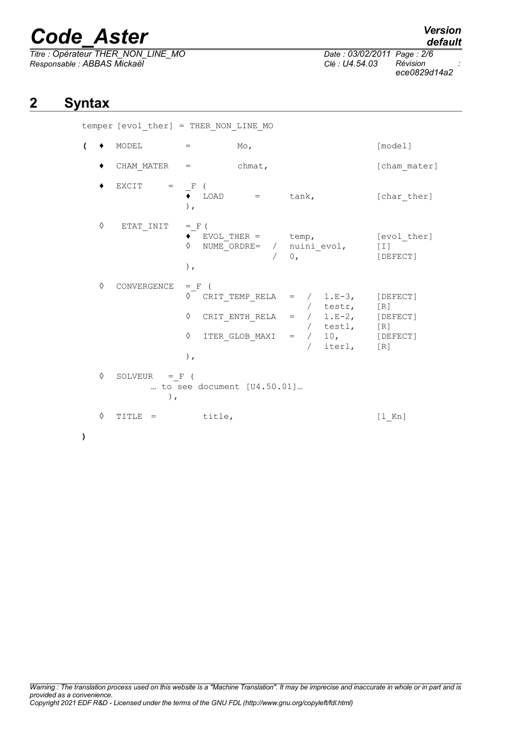*Titre : Opérateur THER\_NON\_LINE\_MO Date : 03/02/2011 Page : 2/6 Responsable : ABBAS Mickaël Clé : U4.54.03 Révision :*

*ece0829d14a2*

## **2 Syntax**

**)**

temper [evol\_ther] = THER\_NON\_LINE\_MO

| $\overline{ }$ |   | MODEL                                                   | $=$                              | $Mo$ ,          |                                                                                                                                                                                  | [model]                              |
|----------------|---|---------------------------------------------------------|----------------------------------|-----------------|----------------------------------------------------------------------------------------------------------------------------------------------------------------------------------|--------------------------------------|
|                |   | $CHAM$ MATER $=$                                        |                                  | chmat,          |                                                                                                                                                                                  | [cham mater]                         |
|                |   | EXCIT<br>$\mathbf{r} = \mathbf{r}$                      | $\_$ $\mathcal{F}$<br>$)$ ,      | $LOAD = tan k,$ |                                                                                                                                                                                  | [char ther]                          |
|                | ♦ | ETAT INIT                                               | $=$ $F$ (<br>$\Diamond$<br>$)$ , |                 | $\bullet$ EVOL_THER = temp,<br>NUME_ORDRE= / $\begin{array}{cc} \text{nuini\_evol,} \\ \text{0,} \end{array}$                                                                    | [evol ther]<br>$[\;1\;]$<br>[DEFECT] |
|                | ♦ | CONVERGENCE                                             | $=$ F<br>♦<br>♦<br>$)$ ,         |                 | $\Diamond$ CRIT TEMP RELA = / 1.E-3,<br>CRIT_ENTH_RELA = $/$ testr, [R]<br>CRIT_ENTH_RELA = $/$ 1.E-2, [DEFECT]<br>/ testl, [R]<br>ITER GLOB MAXI = $/$ 10, [DEFECT]<br>/ iterl, | [DEFECT]<br>[R]                      |
|                | ♦ | SOLVEUR = $F$ (<br>to see document [U4.50.01]<br>$\,$ , |                                  |                 |                                                                                                                                                                                  |                                      |
|                | ♦ | TITLE =                                                 | title,                           |                 |                                                                                                                                                                                  | $[1$ Kn]                             |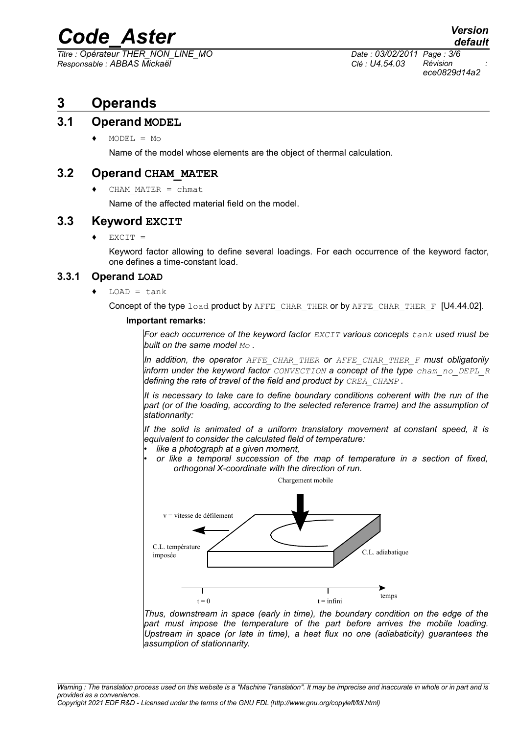*Titre : Opérateur THER\_NON\_LINE\_MO Date : 03/02/2011 Page : 3/6 Responsable : ABBAS Mickaël Clé : U4.54.03 Révision :*

*ece0829d14a2*

### **3 Operands**

#### **3.1 Operand MODEL**

 $MODEL = MO$ 

Name of the model whose elements are the object of thermal calculation.

#### **3.2 Operand CHAM\_MATER**

 $CHAM$  MATER = chmat

Name of the affected material field on the model.

#### **3.3 Keyword EXCIT**

 $EXCIT =$ 

Keyword factor allowing to define several loadings. For each occurrence of the keyword factor, one defines a time-constant load.

#### **3.3.1 Operand LOAD**

 $LOAD = tank$ 

Concept of the type load product by AFFE CHAR THER or by AFFE CHAR THER  $F$  [U4.44.02].

#### **Important remarks:**

*For each occurrence of the keyword factor EXCIT various concepts tank used must be built on the same model Mo .*

*In addition, the operator AFFE\_CHAR\_THER or AFFE\_CHAR\_THER\_F must obligatorily inform under the keyword factor CONVECTION a concept of the type cham\_no\_DEPL\_R defining the rate of travel of the field and product by CREA\_CHAMP .*

*It is necessary to take care to define boundary conditions coherent with the run of the part (or of the loading, according to the selected reference frame) and the assumption of stationnarity:*

*If the solid is animated of a uniform translatory movement at constant speed, it is equivalent to consider the calculated field of temperature:*

- *like a photograph at a given moment,*
- *or like a temporal succession of the map of temperature in a section of fixed, orthogonal X-coordinate with the direction of run.*



*Thus, downstream in space (early in time), the boundary condition on the edge of the part must impose the temperature of the part before arrives the mobile loading. Upstream in space (or late in time), a heat flux no one (adiabaticity) guarantees the assumption of stationnarity.*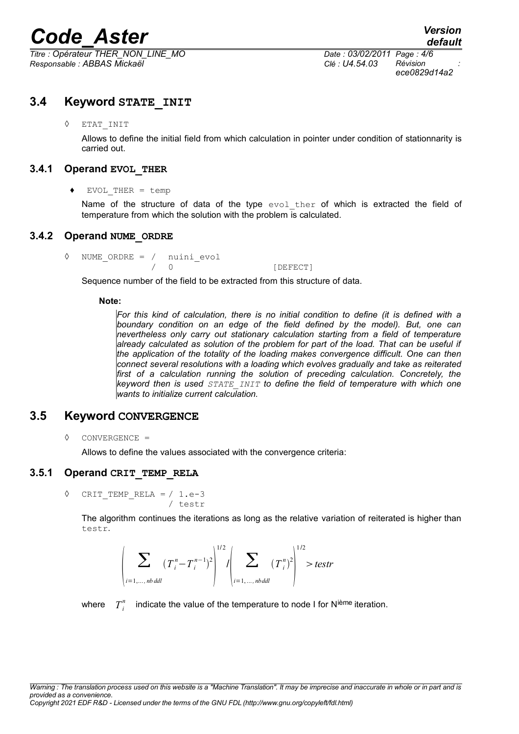*Titre : Opérateur THER\_NON\_LINE\_MO Date : 03/02/2011 Page : 4/6 Responsable : ABBAS Mickaël Clé : U4.54.03 Révision :*

*ece0829d14a2*

#### **3.4 Keyword STATE\_INIT**

#### ◊ ETAT\_INIT

Allows to define the initial field from which calculation in pointer under condition of stationnarity is carried out.

#### **3.4.1 Operand EVOL\_THER**

#### ♦ EVOL\_THER = temp

Name of the structure of data of the type evol ther of which is extracted the field of temperature from which the solution with the problem is calculated.

#### **3.4.2 Operand NUME\_ORDRE**

◊ NUME\_ORDRE = / nuini\_evol 0 [DEFECT]

Sequence number of the field to be extracted from this structure of data.

#### **Note:**

*For this kind of calculation, there is no initial condition to define (it is defined with a boundary condition on an edge of the field defined by the model). But, one can nevertheless only carry out stationary calculation starting from a field of temperature already calculated as solution of the problem for part of the load. That can be useful if the application of the totality of the loading makes convergence difficult. One can then connect several resolutions with a loading which evolves gradually and take as reiterated first of a calculation running the solution of preceding calculation. Concretely, the keyword then is used STATE\_INIT to define the field of temperature with which one wants to initialize current calculation.* 

#### **3.5 Keyword CONVERGENCE**

◊ CONVERGENCE =

Allows to define the values associated with the convergence criteria:

#### **3.5.1 Operand CRIT\_TEMP\_RELA**

$$
\Diamond \quad \text{CRIT\_TEMP\_RELA} = / 1.e-3
$$
\n
$$
/ \text{testr}
$$

The algorithm continues the iterations as long as the relative variation of reiterated is higher than testr.

$$
\left|\sum_{i=1,\dots,\text{nb}}(T_i^n - T_i^{n-1})^2\right|^{1/2} / \left|\sum_{i=1,\dots,\text{nb}}(T_i^n)^2\right|^{1/2} > \text{testr}
$$

where  $T_i^n$  indicate the value of the temperature to node I for N<sup>ième</sup> iteration.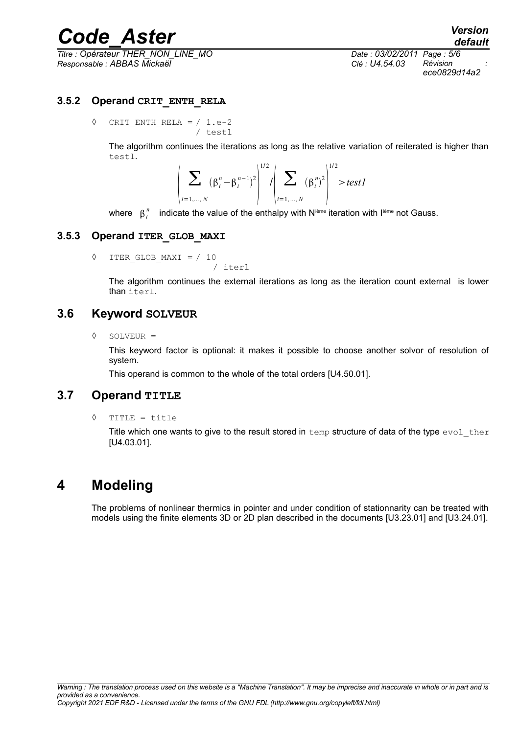*Titre : Opérateur THER\_NON\_LINE\_MO Date : 03/02/2011 Page : 5/6 Responsable : ABBAS Mickaël Clé : U4.54.03 Révision :*

*ece0829d14a2*

#### **3.5.2 Operand CRIT\_ENTH\_RELA**

 $\Diamond$  CRIT ENTH RELA = / 1.e-2 / testl

> The algorithm continues the iterations as long as the relative variation of reiterated is higher than testl.

$$
\left| \sum_{i=1,...,N} (\beta_i^n - \beta_i^{n-1})^2 \right|^{1/2} / \left| \sum_{i=1,...,N} (\beta_i^n)^2 \right|^{1/2} > test1
$$

where  $\,\,\beta_i^{\,n}\,\,$  indicate the value of the enthalpy with N<sup>ième</sup> iteration with I<sup>ième</sup> not Gauss.

#### **3.5.3 Operand ITER\_GLOB\_MAXI**

◊ ITER\_GLOB\_MAXI = / 10

The algorithm continues the external iterations as long as the iteration count external is lower than iterl.

#### **3.6 Keyword SOLVEUR**

◊ SOLVEUR =

This keyword factor is optional: it makes it possible to choose another solvor of resolution of system.

This operand is common to the whole of the total orders [U4.50.01].

/ iterl

#### **3.7 Operand TITLE**

◊ TITLE = title

Title which one wants to give to the result stored in  $t_{\text{emp}}$  structure of data of the type  $\text{evol-ther}$ [U4.03.01].

### **4 Modeling**

The problems of nonlinear thermics in pointer and under condition of stationnarity can be treated with models using the finite elements 3D or 2D plan described in the documents [U3.23.01] and [U3.24.01].